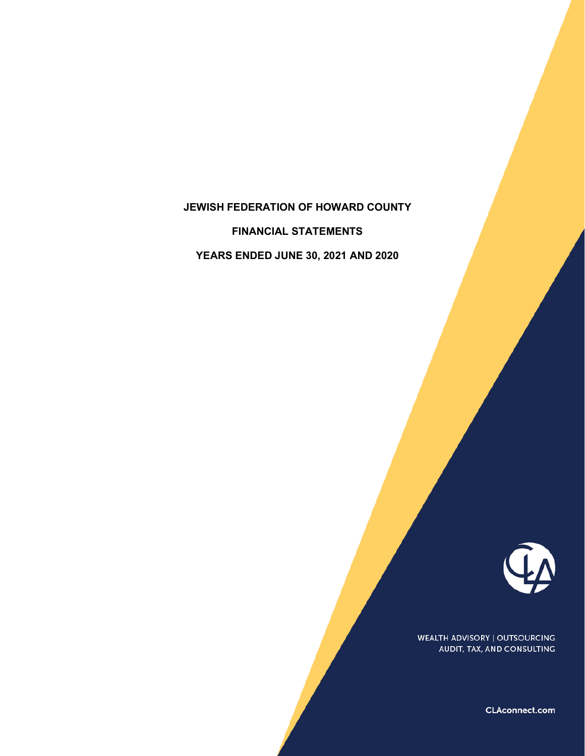# **JEWISH FEDERATION OF HOWARD COUNTY**

**FINANCIAL STATEMENTS**

**YEARS ENDED JUNE 30, 2021 AND 2020**



WEALTH ADVISORY | OUTSOURCING AUDIT, TAX, AND CONSULTING

CLAconnect.com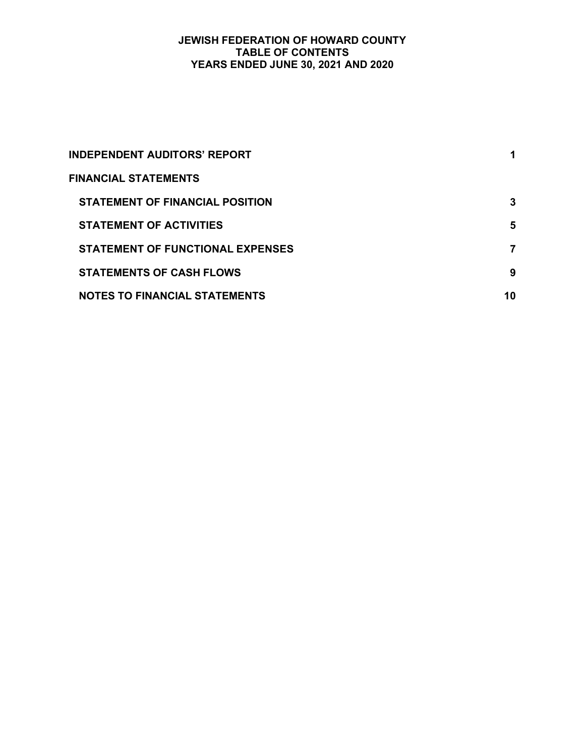## **JEWISH FEDERATION OF HOWARD COUNTY TABLE OF CONTENTS YEARS ENDED JUNE 30, 2021 AND 2020**

| INDEPENDENT AUDITORS' REPORT            |    |
|-----------------------------------------|----|
| <b>FINANCIAL STATEMENTS</b>             |    |
| <b>STATEMENT OF FINANCIAL POSITION</b>  | 3  |
| <b>STATEMENT OF ACTIVITIES</b>          | 5  |
| <b>STATEMENT OF FUNCTIONAL EXPENSES</b> | 7  |
| <b>STATEMENTS OF CASH FLOWS</b>         | 9  |
| <b>NOTES TO FINANCIAL STATEMENTS</b>    | 10 |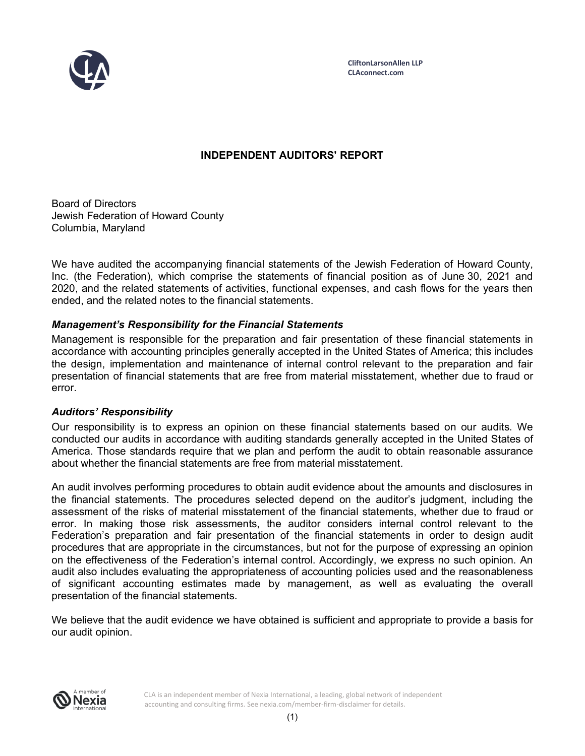

# **INDEPENDENT AUDITORS' REPORT**

Board of Directors Jewish Federation of Howard County Columbia, Maryland

We have audited the accompanying financial statements of the Jewish Federation of Howard County, Inc. (the Federation), which comprise the statements of financial position as of June 30, 2021 and 2020, and the related statements of activities, functional expenses, and cash flows for the years then ended, and the related notes to the financial statements.

# *Management's Responsibility for the Financial Statements*

Management is responsible for the preparation and fair presentation of these financial statements in accordance with accounting principles generally accepted in the United States of America; this includes the design, implementation and maintenance of internal control relevant to the preparation and fair presentation of financial statements that are free from material misstatement, whether due to fraud or error.

# *Auditors' Responsibility*

Our responsibility is to express an opinion on these financial statements based on our audits. We conducted our audits in accordance with auditing standards generally accepted in the United States of America. Those standards require that we plan and perform the audit to obtain reasonable assurance about whether the financial statements are free from material misstatement.

An audit involves performing procedures to obtain audit evidence about the amounts and disclosures in the financial statements. The procedures selected depend on the auditor's judgment, including the assessment of the risks of material misstatement of the financial statements, whether due to fraud or error. In making those risk assessments, the auditor considers internal control relevant to the Federation's preparation and fair presentation of the financial statements in order to design audit procedures that are appropriate in the circumstances, but not for the purpose of expressing an opinion on the effectiveness of the Federation's internal control. Accordingly, we express no such opinion. An audit also includes evaluating the appropriateness of accounting policies used and the reasonableness of significant accounting estimates made by management, as well as evaluating the overall presentation of the financial statements.

We believe that the audit evidence we have obtained is sufficient and appropriate to provide a basis for our audit opinion.



CLA is an independent member of Nexia International, a leading, global network of independent accounting and consulting firms. See nexia.com/member-firm-disclaimer for details.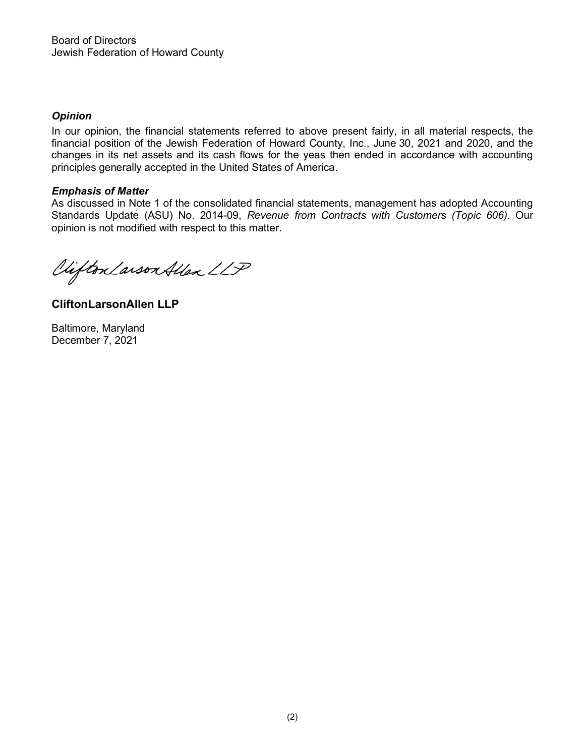# *Opinion*

In our opinion, the financial statements referred to above present fairly, in all material respects, the financial position of the Jewish Federation of Howard County, Inc., June 30, 2021 and 2020, and the changes in its net assets and its cash flows for the yeas then ended in accordance with accounting principles generally accepted in the United States of America.

# *Emphasis of Matter*

As discussed in Note 1 of the consolidated financial statements, management has adopted Accounting Standards Update (ASU) No. 2014-09, *Revenue from Contracts with Customers (Topic 606).* Our opinion is not modified with respect to this matter.

Viifton Larson Allen LLP

**CliftonLarsonAllen LLP**

Baltimore, Maryland December 7, 2021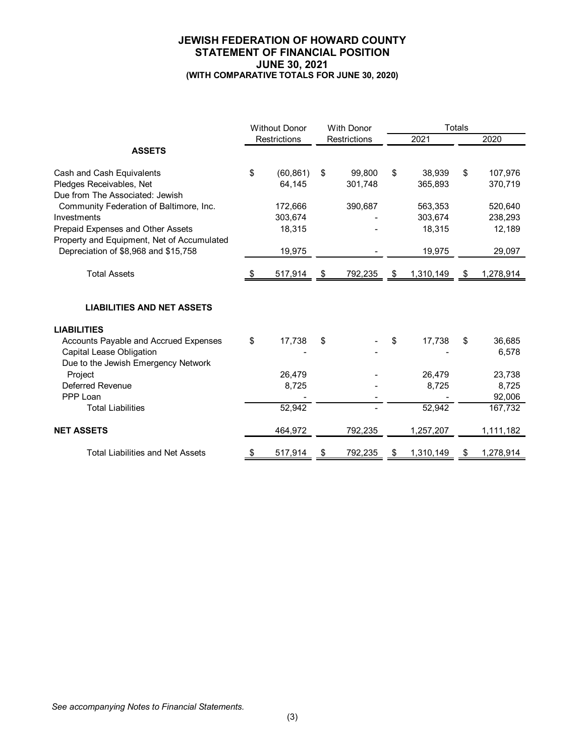#### **JEWISH FEDERATION OF HOWARD COUNTY STATEMENT OF FINANCIAL POSITION JUNE 30, 2021 (WITH COMPARATIVE TOTALS FOR JUNE 30, 2020)**

|                                                                                                          | <b>Without Donor</b><br><b>With Donor</b> |    | <b>Totals</b> |                 |    |                 |
|----------------------------------------------------------------------------------------------------------|-------------------------------------------|----|---------------|-----------------|----|-----------------|
|                                                                                                          | Restrictions                              |    | Restrictions  | 2021            |    | 2020            |
| <b>ASSETS</b>                                                                                            |                                           |    |               |                 |    |                 |
| Cash and Cash Equivalents                                                                                | \$<br>(60, 861)                           | \$ | 99,800        | \$<br>38.939    | \$ | 107,976         |
| Pledges Receivables, Net<br>Due from The Associated: Jewish                                              | 64,145                                    |    | 301,748       | 365,893         |    | 370,719         |
| Community Federation of Baltimore, Inc.                                                                  | 172,666                                   |    | 390,687       | 563,353         |    | 520,640         |
| Investments                                                                                              | 303,674                                   |    |               | 303,674         |    | 238,293         |
| Prepaid Expenses and Other Assets<br>Property and Equipment, Net of Accumulated                          | 18,315                                    |    |               | 18,315          |    | 12,189          |
| Depreciation of \$8,968 and \$15,758                                                                     | 19,975                                    |    |               | 19,975          |    | 29,097          |
| <b>Total Assets</b>                                                                                      | 517,914                                   | \$ | 792,235       | \$<br>1,310,149 | \$ | 1,278,914       |
| <b>LIABILITIES AND NET ASSETS</b>                                                                        |                                           |    |               |                 |    |                 |
| <b>LIABILITIES</b>                                                                                       |                                           |    |               |                 |    |                 |
| Accounts Payable and Accrued Expenses<br>Capital Lease Obligation<br>Due to the Jewish Emergency Network | \$<br>17,738                              | \$ |               | \$<br>17,738    | \$ | 36,685<br>6,578 |
| Project                                                                                                  | 26,479                                    |    |               | 26,479          |    | 23,738          |
| Deferred Revenue                                                                                         | 8,725                                     |    |               | 8,725           |    | 8,725           |
| PPP Loan                                                                                                 |                                           |    |               |                 |    | 92,006          |
| <b>Total Liabilities</b>                                                                                 | 52,942                                    |    |               | 52,942          |    | 167,732         |
| <b>NET ASSETS</b>                                                                                        | 464,972                                   |    | 792,235       | 1,257,207       |    | 1,111,182       |
| <b>Total Liabilities and Net Assets</b>                                                                  | 517,914                                   |    | 792,235       | 1,310,149       |    | 1,278,914       |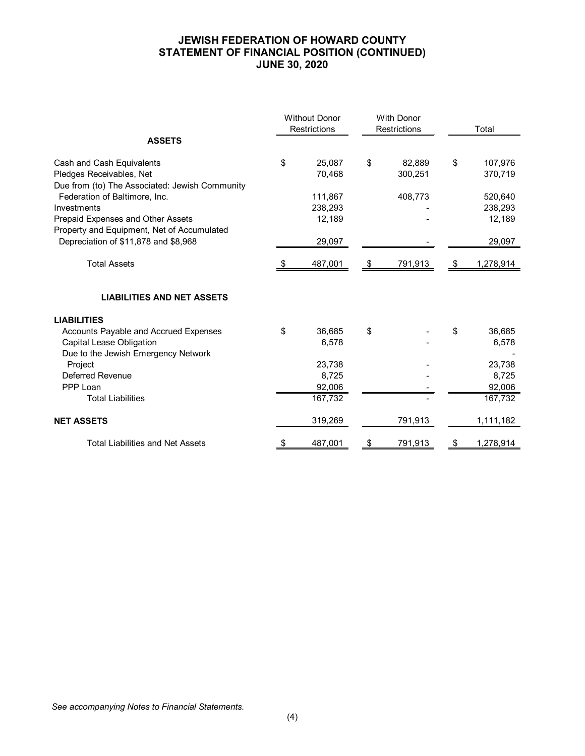# **JEWISH FEDERATION OF HOWARD COUNTY STATEMENT OF FINANCIAL POSITION (CONTINUED) JUNE 30, 2020**

|                                                                                    | <b>With Donor</b><br><b>Without Donor</b><br><b>Restrictions</b><br>Restrictions |                 |    | Total   |           |                 |
|------------------------------------------------------------------------------------|----------------------------------------------------------------------------------|-----------------|----|---------|-----------|-----------------|
| <b>ASSETS</b>                                                                      |                                                                                  |                 |    |         |           |                 |
| Cash and Cash Equivalents                                                          | \$                                                                               | 25,087          | \$ | 82,889  | \$        | 107,976         |
| Pledges Receivables, Net                                                           |                                                                                  | 70,468          |    | 300,251 |           | 370,719         |
| Due from (to) The Associated: Jewish Community                                     |                                                                                  |                 |    |         |           |                 |
| Federation of Baltimore, Inc.                                                      |                                                                                  | 111,867         |    | 408,773 |           | 520,640         |
| Investments                                                                        |                                                                                  | 238,293         |    |         |           | 238,293         |
| Prepaid Expenses and Other Assets                                                  |                                                                                  | 12,189          |    |         |           | 12,189          |
| Property and Equipment, Net of Accumulated<br>Depreciation of \$11,878 and \$8,968 |                                                                                  | 29,097          |    |         |           | 29,097          |
|                                                                                    |                                                                                  |                 |    |         |           |                 |
| <b>Total Assets</b>                                                                |                                                                                  | 487,001         | \$ | 791,913 | <u>\$</u> | 1,278,914       |
| <b>LIABILITIES AND NET ASSETS</b>                                                  |                                                                                  |                 |    |         |           |                 |
|                                                                                    |                                                                                  |                 |    |         |           |                 |
| <b>LIABILITIES</b>                                                                 |                                                                                  |                 |    |         |           |                 |
| Accounts Payable and Accrued Expenses                                              | \$                                                                               | 36,685          | \$ |         | \$        | 36,685          |
| Capital Lease Obligation                                                           |                                                                                  | 6,578           |    |         |           | 6,578           |
| Due to the Jewish Emergency Network                                                |                                                                                  |                 |    |         |           |                 |
| Project<br><b>Deferred Revenue</b>                                                 |                                                                                  | 23,738<br>8,725 |    |         |           | 23,738<br>8,725 |
| PPP Loan                                                                           |                                                                                  | 92,006          |    |         |           | 92,006          |
| <b>Total Liabilities</b>                                                           |                                                                                  | 167,732         |    |         |           | 167,732         |
|                                                                                    |                                                                                  |                 |    |         |           |                 |
| <b>NET ASSETS</b>                                                                  |                                                                                  | 319,269         |    | 791,913 |           | 1,111,182       |
| <b>Total Liabilities and Net Assets</b>                                            | \$                                                                               | 487,001         | \$ | 791,913 | \$        | 1,278,914       |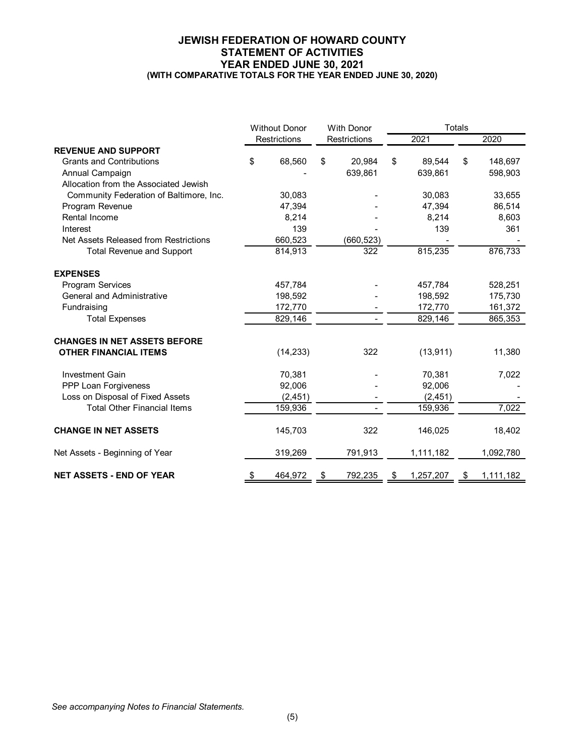#### **JEWISH FEDERATION OF HOWARD COUNTY STATEMENT OF ACTIVITIES YEAR ENDED JUNE 30, 2021 (WITH COMPARATIVE TOTALS FOR THE YEAR ENDED JUNE 30, 2020)**

|                                         | <b>Without Donor</b> | <b>With Donor</b> |              |                 | <b>Totals</b> |           |
|-----------------------------------------|----------------------|-------------------|--------------|-----------------|---------------|-----------|
|                                         | Restrictions         |                   | Restrictions | 2021            |               | 2020      |
| <b>REVENUE AND SUPPORT</b>              |                      |                   |              |                 |               |           |
| <b>Grants and Contributions</b>         | \$<br>68,560         | \$                | 20,984       | \$<br>89,544    | \$            | 148,697   |
| Annual Campaign                         |                      |                   | 639,861      | 639,861         |               | 598,903   |
| Allocation from the Associated Jewish   |                      |                   |              |                 |               |           |
| Community Federation of Baltimore, Inc. | 30,083               |                   |              | 30,083          |               | 33,655    |
| Program Revenue                         | 47,394               |                   |              | 47,394          |               | 86,514    |
| Rental Income                           | 8,214                |                   |              | 8,214           |               | 8,603     |
| Interest                                | 139                  |                   |              | 139             |               | 361       |
| Net Assets Released from Restrictions   | 660,523              |                   | (660, 523)   |                 |               |           |
| <b>Total Revenue and Support</b>        | 814,913              |                   | 322          | 815,235         |               | 876,733   |
| <b>EXPENSES</b>                         |                      |                   |              |                 |               |           |
| Program Services                        | 457,784              |                   |              | 457,784         |               | 528,251   |
| <b>General and Administrative</b>       | 198,592              |                   |              | 198.592         |               | 175,730   |
| Fundraising                             | 172,770              |                   |              | 172,770         |               | 161,372   |
| <b>Total Expenses</b>                   | 829,146              |                   |              | 829,146         |               | 865,353   |
| <b>CHANGES IN NET ASSETS BEFORE</b>     |                      |                   |              |                 |               |           |
| <b>OTHER FINANCIAL ITEMS</b>            | (14, 233)            |                   | 322          | (13, 911)       |               | 11,380    |
| <b>Investment Gain</b>                  | 70,381               |                   |              | 70,381          |               | 7,022     |
| PPP Loan Forgiveness                    | 92,006               |                   |              | 92,006          |               |           |
| Loss on Disposal of Fixed Assets        | (2, 451)             |                   |              | (2, 451)        |               |           |
| <b>Total Other Financial Items</b>      | 159,936              |                   |              | 159,936         |               | 7,022     |
| <b>CHANGE IN NET ASSETS</b>             | 145,703              |                   | 322          | 146,025         |               | 18,402    |
| Net Assets - Beginning of Year          | 319,269              |                   | 791,913      | 1,111,182       |               | 1,092,780 |
| <b>NET ASSETS - END OF YEAR</b>         | \$<br>464,972        | \$                | 792,235      | \$<br>1,257,207 | \$            | 1,111,182 |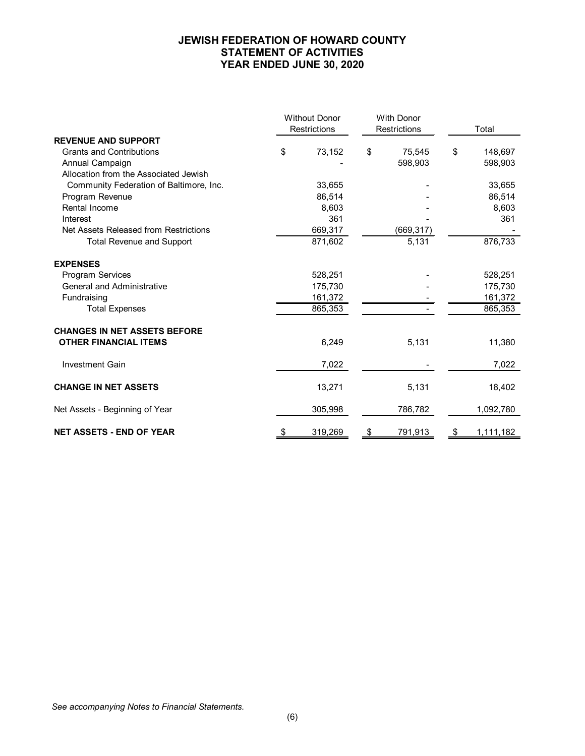#### **JEWISH FEDERATION OF HOWARD COUNTY STATEMENT OF ACTIVITIES YEAR ENDED JUNE 30, 2020**

|                                         |    | <b>Without Donor</b><br><b>Restrictions</b> | <b>With Donor</b><br><b>Restrictions</b> | Total           |  |
|-----------------------------------------|----|---------------------------------------------|------------------------------------------|-----------------|--|
| <b>REVENUE AND SUPPORT</b>              |    |                                             |                                          |                 |  |
| <b>Grants and Contributions</b>         | \$ | 73,152                                      | \$<br>75,545                             | \$<br>148,697   |  |
| Annual Campaign                         |    |                                             | 598.903                                  | 598,903         |  |
| Allocation from the Associated Jewish   |    |                                             |                                          |                 |  |
| Community Federation of Baltimore, Inc. |    | 33,655                                      |                                          | 33,655          |  |
| Program Revenue                         |    | 86,514                                      |                                          | 86,514          |  |
| Rental Income                           |    | 8,603                                       |                                          | 8,603           |  |
| Interest                                |    | 361                                         |                                          | 361             |  |
| Net Assets Released from Restrictions   |    | 669,317                                     | (669, 317)                               |                 |  |
| <b>Total Revenue and Support</b>        |    | 871,602                                     | 5,131                                    | 876,733         |  |
| <b>EXPENSES</b>                         |    |                                             |                                          |                 |  |
| Program Services                        |    | 528,251                                     |                                          | 528,251         |  |
| <b>General and Administrative</b>       |    | 175,730                                     |                                          | 175,730         |  |
| Fundraising                             |    | 161,372                                     |                                          | 161,372         |  |
| <b>Total Expenses</b>                   |    | 865,353                                     |                                          | 865,353         |  |
| <b>CHANGES IN NET ASSETS BEFORE</b>     |    |                                             |                                          |                 |  |
| <b>OTHER FINANCIAL ITEMS</b>            |    | 6,249                                       | 5,131                                    | 11,380          |  |
| <b>Investment Gain</b>                  |    | 7,022                                       |                                          | 7,022           |  |
| <b>CHANGE IN NET ASSETS</b>             |    | 13,271                                      | 5,131                                    | 18,402          |  |
| Net Assets - Beginning of Year          |    | 305,998                                     | 786,782                                  | 1,092,780       |  |
| <b>NET ASSETS - END OF YEAR</b>         | \$ | 319,269                                     | \$<br>791,913                            | \$<br>1,111,182 |  |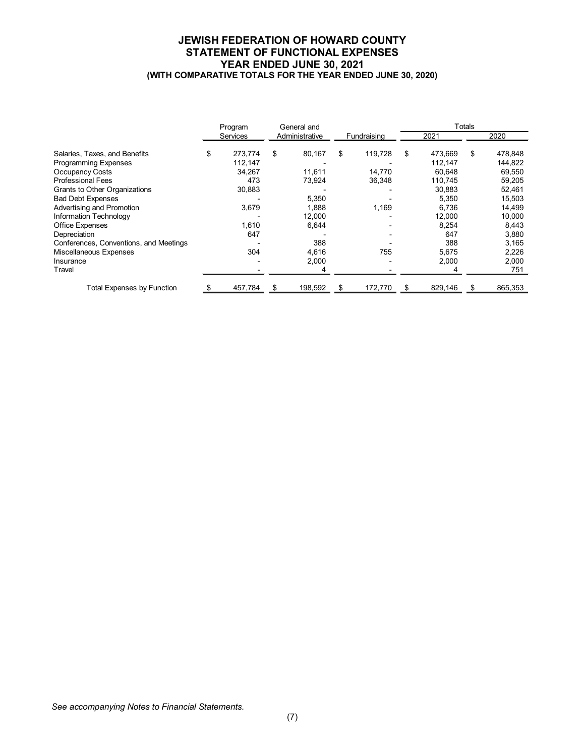#### **JEWISH FEDERATION OF HOWARD COUNTY STATEMENT OF FUNCTIONAL EXPENSES YEAR ENDED JUNE 30, 2021 (WITH COMPARATIVE TOTALS FOR THE YEAR ENDED JUNE 30, 2020)**

|                                        | Program         | General and |                |    |             |    | Totals  |    |         |
|----------------------------------------|-----------------|-------------|----------------|----|-------------|----|---------|----|---------|
|                                        | <b>Services</b> |             | Administrative |    | Fundraising |    | 2021    |    | 2020    |
| Salaries, Taxes, and Benefits          | \$<br>273,774   | \$          | 80,167         | \$ | 119,728     | \$ | 473,669 | \$ | 478,848 |
| <b>Programming Expenses</b>            | 112,147         |             |                |    |             |    | 112,147 |    | 144,822 |
| Occupancy Costs                        | 34,267          |             | 11,611         |    | 14,770      |    | 60.648  |    | 69,550  |
| <b>Professional Fees</b>               | 473             |             | 73,924         |    | 36,348      |    | 110,745 |    | 59,205  |
| Grants to Other Organizations          | 30,883          |             |                |    |             |    | 30.883  |    | 52,461  |
| <b>Bad Debt Expenses</b>               |                 |             | 5,350          |    |             |    | 5.350   |    | 15,503  |
| Advertising and Promotion              | 3,679           |             | 1,888          |    | 1,169       |    | 6.736   |    | 14,499  |
| Information Technology                 |                 |             | 12,000         |    |             |    | 12,000  |    | 10,000  |
| <b>Office Expenses</b>                 | 1,610           |             | 6,644          |    |             |    | 8,254   |    | 8,443   |
| Depreciation                           | 647             |             |                |    |             |    | 647     |    | 3,880   |
| Conferences, Conventions, and Meetings |                 |             | 388            |    |             |    | 388     |    | 3,165   |
| Miscellaneous Expenses                 | 304             |             | 4,616          |    | 755         |    | 5.675   |    | 2,226   |
| Insurance                              |                 |             | 2,000          |    |             |    | 2,000   |    | 2,000   |
| Travel                                 |                 |             | 4              |    |             |    |         |    | 751     |
| Total Expenses by Function             | 457,784         |             | 198,592        |    | 172,770     |    | 829,146 |    | 865,353 |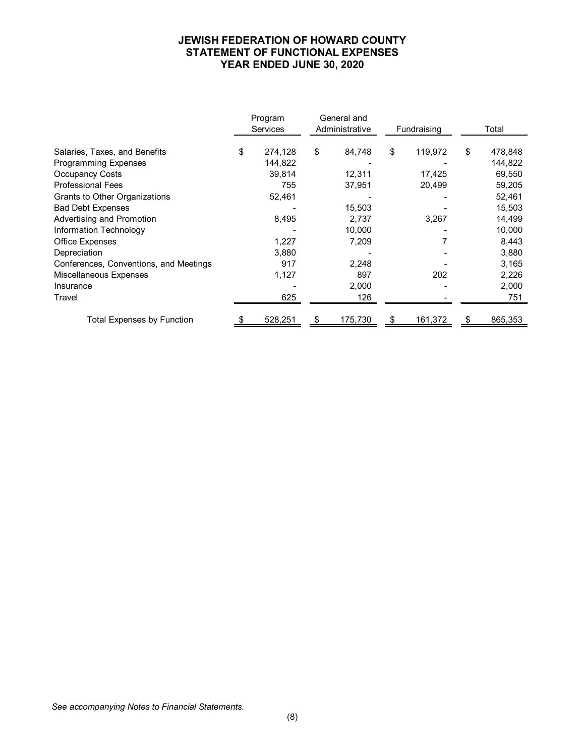## **JEWISH FEDERATION OF HOWARD COUNTY STATEMENT OF FUNCTIONAL EXPENSES YEAR ENDED JUNE 30, 2020**

|                                        | Program<br><b>Services</b> |         | General and<br>Administrative |         | Fundraising |         | Total |         |
|----------------------------------------|----------------------------|---------|-------------------------------|---------|-------------|---------|-------|---------|
| Salaries, Taxes, and Benefits          | \$                         | 274,128 | \$                            | 84,748  | \$          | 119,972 | \$    | 478,848 |
| <b>Programming Expenses</b>            |                            | 144,822 |                               |         |             |         |       | 144,822 |
| Occupancy Costs                        |                            | 39,814  |                               | 12,311  |             | 17.425  |       | 69,550  |
| <b>Professional Fees</b>               |                            | 755     |                               | 37,951  |             | 20,499  |       | 59,205  |
| Grants to Other Organizations          |                            | 52,461  |                               |         |             |         |       | 52,461  |
| <b>Bad Debt Expenses</b>               |                            |         |                               | 15,503  |             |         |       | 15,503  |
| Advertising and Promotion              |                            | 8,495   |                               | 2,737   |             | 3,267   |       | 14,499  |
| Information Technology                 |                            |         |                               | 10,000  |             |         |       | 10,000  |
| Office Expenses                        |                            | 1,227   |                               | 7,209   |             |         |       | 8,443   |
| Depreciation                           |                            | 3,880   |                               |         |             |         |       | 3,880   |
| Conferences, Conventions, and Meetings |                            | 917     |                               | 2,248   |             |         |       | 3,165   |
| Miscellaneous Expenses                 |                            | 1,127   |                               | 897     |             | 202     |       | 2,226   |
| Insurance                              |                            |         |                               | 2,000   |             |         |       | 2,000   |
| Travel                                 |                            | 625     |                               | 126     |             |         |       | 751     |
| <b>Total Expenses by Function</b>      |                            | 528,251 | S                             | 175,730 | æ.          | 161,372 |       | 865,353 |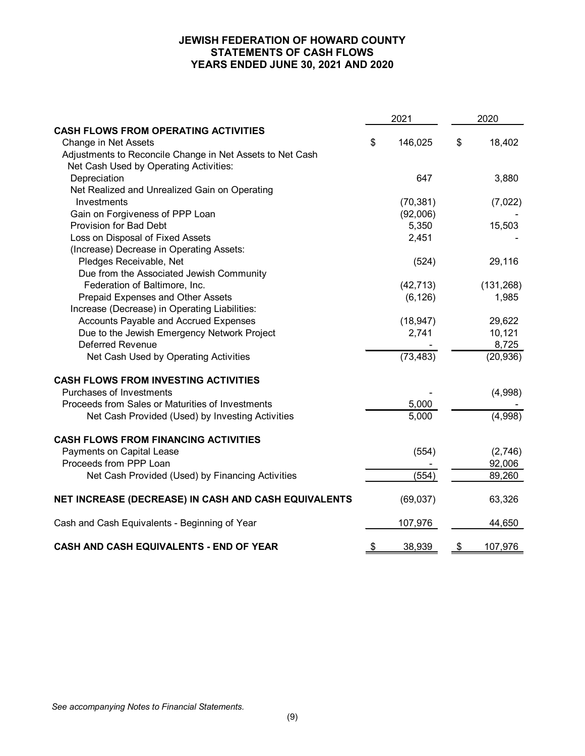# **JEWISH FEDERATION OF HOWARD COUNTY STATEMENTS OF CASH FLOWS YEARS ENDED JUNE 30, 2021 AND 2020**

|                                                           | 2021 |           | 2020 |            |
|-----------------------------------------------------------|------|-----------|------|------------|
| <b>CASH FLOWS FROM OPERATING ACTIVITIES</b>               |      |           |      |            |
| Change in Net Assets                                      | \$   | 146,025   | \$   | 18,402     |
| Adjustments to Reconcile Change in Net Assets to Net Cash |      |           |      |            |
| Net Cash Used by Operating Activities:                    |      |           |      |            |
| Depreciation                                              |      | 647       |      | 3,880      |
| Net Realized and Unrealized Gain on Operating             |      |           |      |            |
| Investments                                               |      | (70, 381) |      | (7,022)    |
| Gain on Forgiveness of PPP Loan                           |      | (92,006)  |      |            |
| Provision for Bad Debt                                    |      | 5,350     |      | 15,503     |
| Loss on Disposal of Fixed Assets                          |      | 2,451     |      |            |
| (Increase) Decrease in Operating Assets:                  |      |           |      |            |
| Pledges Receivable, Net                                   |      | (524)     |      | 29,116     |
| Due from the Associated Jewish Community                  |      |           |      |            |
| Federation of Baltimore, Inc.                             |      | (42, 713) |      | (131, 268) |
| Prepaid Expenses and Other Assets                         |      | (6, 126)  |      | 1,985      |
| Increase (Decrease) in Operating Liabilities:             |      |           |      |            |
| Accounts Payable and Accrued Expenses                     |      | (18, 947) |      | 29,622     |
| Due to the Jewish Emergency Network Project               |      | 2,741     |      | 10,121     |
| Deferred Revenue                                          |      |           |      | 8,725      |
| Net Cash Used by Operating Activities                     |      | (73, 483) |      | (20, 936)  |
| <b>CASH FLOWS FROM INVESTING ACTIVITIES</b>               |      |           |      |            |
| Purchases of Investments                                  |      |           |      | (4,998)    |
| Proceeds from Sales or Maturities of Investments          |      | 5,000     |      |            |
| Net Cash Provided (Used) by Investing Activities          |      | 5,000     |      | (4,998)    |
| <b>CASH FLOWS FROM FINANCING ACTIVITIES</b>               |      |           |      |            |
| Payments on Capital Lease                                 |      | (554)     |      | (2,746)    |
| Proceeds from PPP Loan                                    |      |           |      | 92,006     |
| Net Cash Provided (Used) by Financing Activities          |      | (554)     |      | 89,260     |
| NET INCREASE (DECREASE) IN CASH AND CASH EQUIVALENTS      |      | (69, 037) |      | 63,326     |
| Cash and Cash Equivalents - Beginning of Year             |      | 107,976   |      | 44,650     |
| CASH AND CASH EQUIVALENTS - END OF YEAR                   | \$   | 38,939    | \$   | 107,976    |

*See accompanying Notes to Financial Statements.*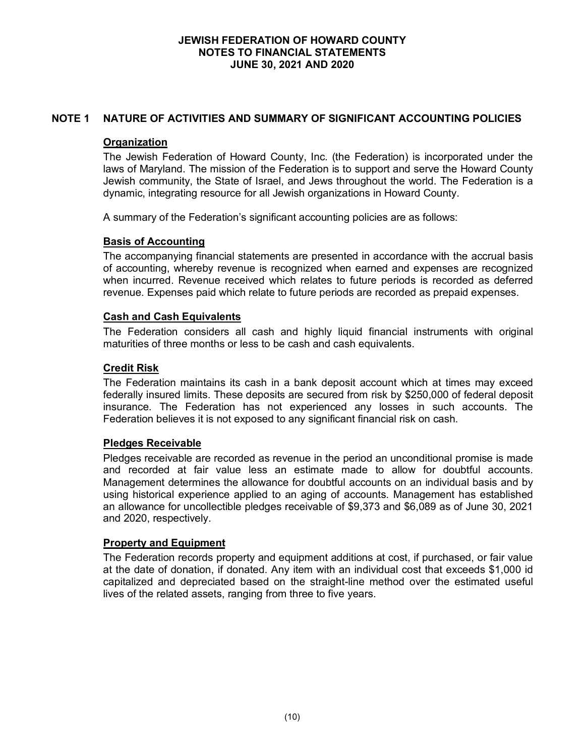# **NOTE 1 NATURE OF ACTIVITIES AND SUMMARY OF SIGNIFICANT ACCOUNTING POLICIES**

### **Organization**

The Jewish Federation of Howard County, Inc. (the Federation) is incorporated under the laws of Maryland. The mission of the Federation is to support and serve the Howard County Jewish community, the State of Israel, and Jews throughout the world. The Federation is a dynamic, integrating resource for all Jewish organizations in Howard County.

A summary of the Federation's significant accounting policies are as follows:

# **Basis of Accounting**

The accompanying financial statements are presented in accordance with the accrual basis of accounting, whereby revenue is recognized when earned and expenses are recognized when incurred. Revenue received which relates to future periods is recorded as deferred revenue. Expenses paid which relate to future periods are recorded as prepaid expenses.

### **Cash and Cash Equivalents**

The Federation considers all cash and highly liquid financial instruments with original maturities of three months or less to be cash and cash equivalents.

### **Credit Risk**

The Federation maintains its cash in a bank deposit account which at times may exceed federally insured limits. These deposits are secured from risk by \$250,000 of federal deposit insurance. The Federation has not experienced any losses in such accounts. The Federation believes it is not exposed to any significant financial risk on cash.

# **Pledges Receivable**

Pledges receivable are recorded as revenue in the period an unconditional promise is made and recorded at fair value less an estimate made to allow for doubtful accounts. Management determines the allowance for doubtful accounts on an individual basis and by using historical experience applied to an aging of accounts. Management has established an allowance for uncollectible pledges receivable of \$9,373 and \$6,089 as of June 30, 2021 and 2020, respectively.

#### **Property and Equipment**

The Federation records property and equipment additions at cost, if purchased, or fair value at the date of donation, if donated. Any item with an individual cost that exceeds \$1,000 id capitalized and depreciated based on the straight-line method over the estimated useful lives of the related assets, ranging from three to five years.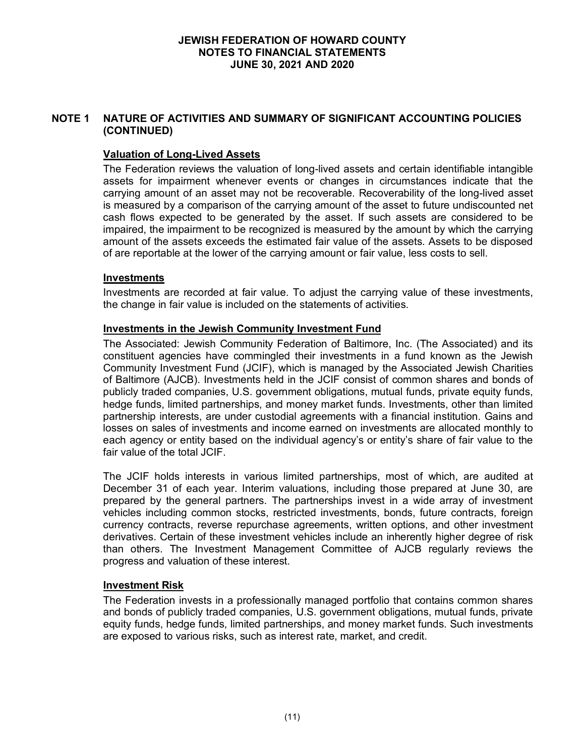# **NOTE 1 NATURE OF ACTIVITIES AND SUMMARY OF SIGNIFICANT ACCOUNTING POLICIES (CONTINUED)**

# **Valuation of Long-Lived Assets**

The Federation reviews the valuation of long-lived assets and certain identifiable intangible assets for impairment whenever events or changes in circumstances indicate that the carrying amount of an asset may not be recoverable. Recoverability of the long-lived asset is measured by a comparison of the carrying amount of the asset to future undiscounted net cash flows expected to be generated by the asset. If such assets are considered to be impaired, the impairment to be recognized is measured by the amount by which the carrying amount of the assets exceeds the estimated fair value of the assets. Assets to be disposed of are reportable at the lower of the carrying amount or fair value, less costs to sell.

### **Investments**

Investments are recorded at fair value. To adjust the carrying value of these investments, the change in fair value is included on the statements of activities.

### **Investments in the Jewish Community Investment Fund**

The Associated: Jewish Community Federation of Baltimore, Inc. (The Associated) and its constituent agencies have commingled their investments in a fund known as the Jewish Community Investment Fund (JCIF), which is managed by the Associated Jewish Charities of Baltimore (AJCB). Investments held in the JCIF consist of common shares and bonds of publicly traded companies, U.S. government obligations, mutual funds, private equity funds, hedge funds, limited partnerships, and money market funds. Investments, other than limited partnership interests, are under custodial agreements with a financial institution. Gains and losses on sales of investments and income earned on investments are allocated monthly to each agency or entity based on the individual agency's or entity's share of fair value to the fair value of the total JCIF.

The JCIF holds interests in various limited partnerships, most of which, are audited at December 31 of each year. Interim valuations, including those prepared at June 30, are prepared by the general partners. The partnerships invest in a wide array of investment vehicles including common stocks, restricted investments, bonds, future contracts, foreign currency contracts, reverse repurchase agreements, written options, and other investment derivatives. Certain of these investment vehicles include an inherently higher degree of risk than others. The Investment Management Committee of AJCB regularly reviews the progress and valuation of these interest.

# **Investment Risk**

The Federation invests in a professionally managed portfolio that contains common shares and bonds of publicly traded companies, U.S. government obligations, mutual funds, private equity funds, hedge funds, limited partnerships, and money market funds. Such investments are exposed to various risks, such as interest rate, market, and credit.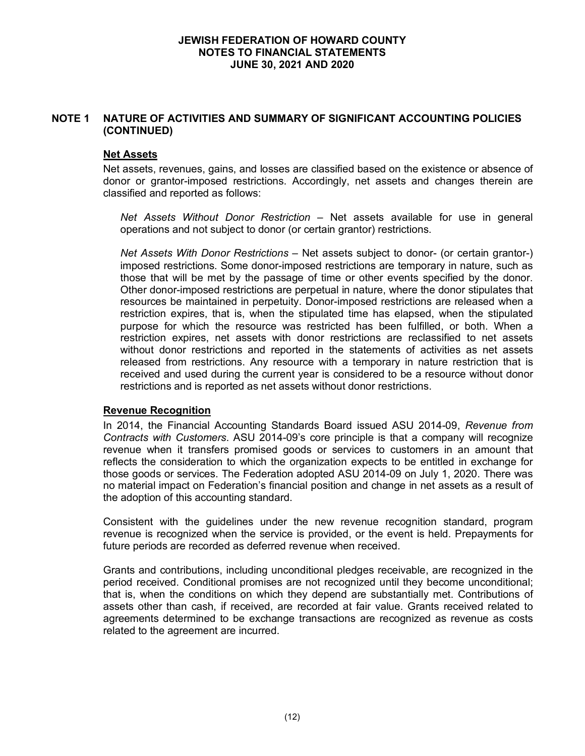# **NOTE 1 NATURE OF ACTIVITIES AND SUMMARY OF SIGNIFICANT ACCOUNTING POLICIES (CONTINUED)**

# **Net Assets**

Net assets, revenues, gains, and losses are classified based on the existence or absence of donor or grantor-imposed restrictions. Accordingly, net assets and changes therein are classified and reported as follows:

*Net Assets Without Donor Restriction* – Net assets available for use in general operations and not subject to donor (or certain grantor) restrictions.

*Net Assets With Donor Restrictions* – Net assets subject to donor- (or certain grantor-) imposed restrictions. Some donor-imposed restrictions are temporary in nature, such as those that will be met by the passage of time or other events specified by the donor. Other donor-imposed restrictions are perpetual in nature, where the donor stipulates that resources be maintained in perpetuity. Donor-imposed restrictions are released when a restriction expires, that is, when the stipulated time has elapsed, when the stipulated purpose for which the resource was restricted has been fulfilled, or both. When a restriction expires, net assets with donor restrictions are reclassified to net assets without donor restrictions and reported in the statements of activities as net assets released from restrictions. Any resource with a temporary in nature restriction that is received and used during the current year is considered to be a resource without donor restrictions and is reported as net assets without donor restrictions.

#### **Revenue Recognition**

In 2014, the Financial Accounting Standards Board issued ASU 2014-09, *Revenue from Contracts with Customers*. ASU 2014-09's core principle is that a company will recognize revenue when it transfers promised goods or services to customers in an amount that reflects the consideration to which the organization expects to be entitled in exchange for those goods or services. The Federation adopted ASU 2014-09 on July 1, 2020. There was no material impact on Federation's financial position and change in net assets as a result of the adoption of this accounting standard.

Consistent with the guidelines under the new revenue recognition standard, program revenue is recognized when the service is provided, or the event is held. Prepayments for future periods are recorded as deferred revenue when received.

Grants and contributions, including unconditional pledges receivable, are recognized in the period received. Conditional promises are not recognized until they become unconditional; that is, when the conditions on which they depend are substantially met. Contributions of assets other than cash, if received, are recorded at fair value. Grants received related to agreements determined to be exchange transactions are recognized as revenue as costs related to the agreement are incurred.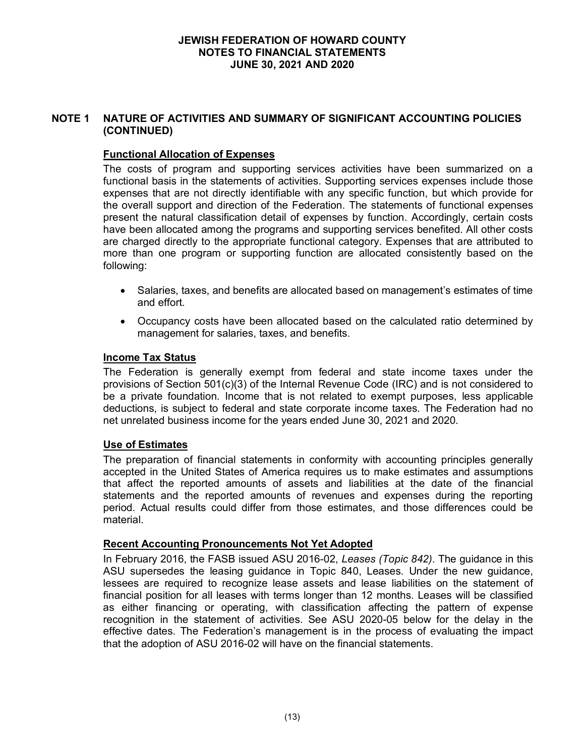# **NOTE 1 NATURE OF ACTIVITIES AND SUMMARY OF SIGNIFICANT ACCOUNTING POLICIES (CONTINUED)**

## **Functional Allocation of Expenses**

The costs of program and supporting services activities have been summarized on a functional basis in the statements of activities. Supporting services expenses include those expenses that are not directly identifiable with any specific function, but which provide for the overall support and direction of the Federation. The statements of functional expenses present the natural classification detail of expenses by function. Accordingly, certain costs have been allocated among the programs and supporting services benefited. All other costs are charged directly to the appropriate functional category. Expenses that are attributed to more than one program or supporting function are allocated consistently based on the following:

- Salaries, taxes, and benefits are allocated based on management's estimates of time and effort.
- Occupancy costs have been allocated based on the calculated ratio determined by management for salaries, taxes, and benefits.

#### **Income Tax Status**

The Federation is generally exempt from federal and state income taxes under the provisions of Section 501(c)(3) of the Internal Revenue Code (IRC) and is not considered to be a private foundation. Income that is not related to exempt purposes, less applicable deductions, is subject to federal and state corporate income taxes. The Federation had no net unrelated business income for the years ended June 30, 2021 and 2020.

#### **Use of Estimates**

The preparation of financial statements in conformity with accounting principles generally accepted in the United States of America requires us to make estimates and assumptions that affect the reported amounts of assets and liabilities at the date of the financial statements and the reported amounts of revenues and expenses during the reporting period. Actual results could differ from those estimates, and those differences could be material.

#### **Recent Accounting Pronouncements Not Yet Adopted**

In February 2016, the FASB issued ASU 2016-02, *Leases (Topic 842)*. The guidance in this ASU supersedes the leasing guidance in Topic 840, Leases. Under the new guidance, lessees are required to recognize lease assets and lease liabilities on the statement of financial position for all leases with terms longer than 12 months. Leases will be classified as either financing or operating, with classification affecting the pattern of expense recognition in the statement of activities. See ASU 2020-05 below for the delay in the effective dates. The Federation's management is in the process of evaluating the impact that the adoption of ASU 2016-02 will have on the financial statements.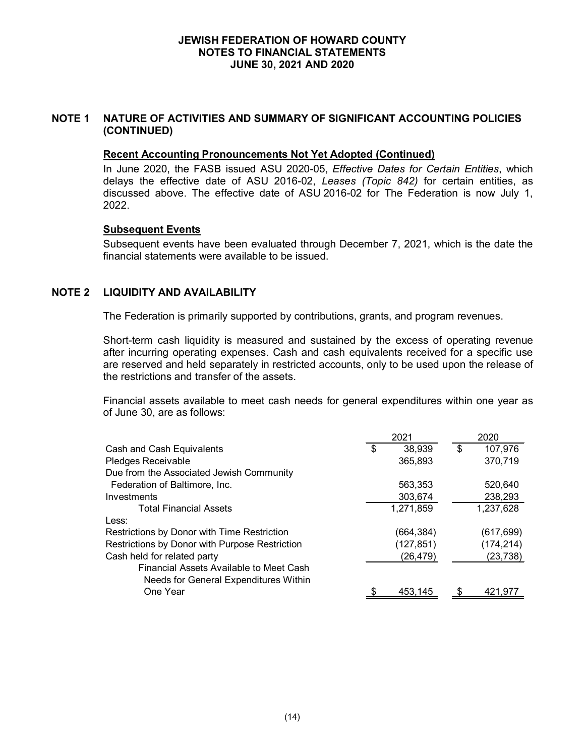# **NOTE 1 NATURE OF ACTIVITIES AND SUMMARY OF SIGNIFICANT ACCOUNTING POLICIES (CONTINUED)**

#### **Recent Accounting Pronouncements Not Yet Adopted (Continued)**

In June 2020, the FASB issued ASU 2020-05, *Effective Dates for Certain Entities*, which delays the effective date of ASU 2016-02, *Leases (Topic 842)* for certain entities, as discussed above. The effective date of ASU 2016-02 for The Federation is now July 1, 2022.

### **Subsequent Events**

Subsequent events have been evaluated through December 7, 2021, which is the date the financial statements were available to be issued.

# **NOTE 2 LIQUIDITY AND AVAILABILITY**

The Federation is primarily supported by contributions, grants, and program revenues.

Short-term cash liquidity is measured and sustained by the excess of operating revenue after incurring operating expenses. Cash and cash equivalents received for a specific use are reserved and held separately in restricted accounts, only to be used upon the release of the restrictions and transfer of the assets.

Financial assets available to meet cash needs for general expenditures within one year as of June 30, are as follows:

|                                                                                  | 2021 |           | 2020          |  |
|----------------------------------------------------------------------------------|------|-----------|---------------|--|
| Cash and Cash Equivalents                                                        | \$   | 38,939    | \$<br>107,976 |  |
| Pledges Receivable                                                               |      | 365,893   | 370,719       |  |
| Due from the Associated Jewish Community                                         |      |           |               |  |
| Federation of Baltimore, Inc.                                                    |      | 563,353   | 520.640       |  |
| Investments                                                                      |      | 303,674   | 238,293       |  |
| <b>Total Financial Assets</b>                                                    |      | 1,271,859 | 1,237,628     |  |
| Less:                                                                            |      |           |               |  |
| Restrictions by Donor with Time Restriction                                      |      | (664,384) | (617,699)     |  |
| Restrictions by Donor with Purpose Restriction                                   |      | (127,851) | (174,214)     |  |
| Cash held for related party                                                      |      | (26, 479) | (23,738)      |  |
| Financial Assets Available to Meet Cash<br>Needs for General Expenditures Within |      |           |               |  |
| One Year                                                                         |      | 453,145   | 421.977       |  |
|                                                                                  |      |           |               |  |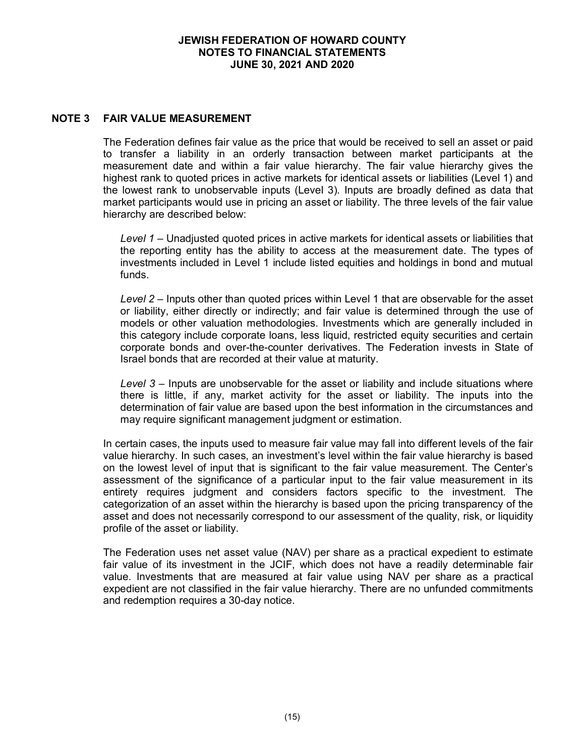## **NOTE 3 FAIR VALUE MEASUREMENT**

The Federation defines fair value as the price that would be received to sell an asset or paid to transfer a liability in an orderly transaction between market participants at the measurement date and within a fair value hierarchy. The fair value hierarchy gives the highest rank to quoted prices in active markets for identical assets or liabilities (Level 1) and the lowest rank to unobservable inputs (Level 3). Inputs are broadly defined as data that market participants would use in pricing an asset or liability. The three levels of the fair value hierarchy are described below:

*Level 1* – Unadjusted quoted prices in active markets for identical assets or liabilities that the reporting entity has the ability to access at the measurement date. The types of investments included in Level 1 include listed equities and holdings in bond and mutual funds.

*Level 2* – Inputs other than quoted prices within Level 1 that are observable for the asset or liability, either directly or indirectly; and fair value is determined through the use of models or other valuation methodologies. Investments which are generally included in this category include corporate loans, less liquid, restricted equity securities and certain corporate bonds and over-the-counter derivatives. The Federation invests in State of Israel bonds that are recorded at their value at maturity.

*Level 3* – Inputs are unobservable for the asset or liability and include situations where there is little, if any, market activity for the asset or liability. The inputs into the determination of fair value are based upon the best information in the circumstances and may require significant management judgment or estimation.

In certain cases, the inputs used to measure fair value may fall into different levels of the fair value hierarchy. In such cases, an investment's level within the fair value hierarchy is based on the lowest level of input that is significant to the fair value measurement. The Center's assessment of the significance of a particular input to the fair value measurement in its entirety requires judgment and considers factors specific to the investment. The categorization of an asset within the hierarchy is based upon the pricing transparency of the asset and does not necessarily correspond to our assessment of the quality, risk, or liquidity profile of the asset or liability.

The Federation uses net asset value (NAV) per share as a practical expedient to estimate fair value of its investment in the JCIF, which does not have a readily determinable fair value. Investments that are measured at fair value using NAV per share as a practical expedient are not classified in the fair value hierarchy. There are no unfunded commitments and redemption requires a 30-day notice.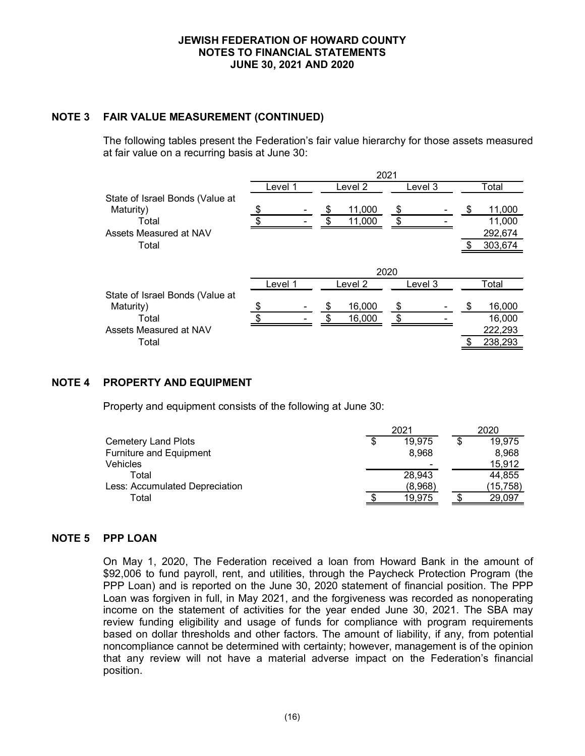## **NOTE 3 FAIR VALUE MEASUREMENT (CONTINUED)**

The following tables present the Federation's fair value hierarchy for those assets measured at fair value on a recurring basis at June 30:

|                                 | 2021    |               |         |                |  |  |  |  |  |
|---------------------------------|---------|---------------|---------|----------------|--|--|--|--|--|
|                                 | Level 1 | Level 2       | Level 3 | Total          |  |  |  |  |  |
| State of Israel Bonds (Value at |         |               |         |                |  |  |  |  |  |
| Maturity)                       | \$      | 11,000<br>\$  | \$      | 11,000<br>S    |  |  |  |  |  |
| Total                           | c       | 11,000<br>\$. | \$      | 11,000         |  |  |  |  |  |
| Assets Measured at NAV          |         |               |         | 292,674        |  |  |  |  |  |
| Total                           |         |               |         | 303,674<br>\$. |  |  |  |  |  |
|                                 |         |               |         |                |  |  |  |  |  |
|                                 |         | 2020          |         |                |  |  |  |  |  |
|                                 | Level 1 | Level 2       | Level 3 | Total          |  |  |  |  |  |
| State of Israel Bonds (Value at |         |               |         |                |  |  |  |  |  |
| Maturity)                       |         | 16,000        | \$      | 16,000         |  |  |  |  |  |
| Total                           | \$      | 16,000<br>\$. | \$      | 16,000         |  |  |  |  |  |
| Assets Measured at NAV          |         |               |         | 222,293        |  |  |  |  |  |
| Total                           |         |               |         | 238,293        |  |  |  |  |  |

## **NOTE 4 PROPERTY AND EQUIPMENT**

Property and equipment consists of the following at June 30:

|  |         | 2020 |          |  |
|--|---------|------|----------|--|
|  | 19,975  |      | 19,975   |  |
|  | 8.968   |      | 8.968    |  |
|  |         |      | 15.912   |  |
|  | 28,943  |      | 44,855   |  |
|  | (8,968) |      | (15,758) |  |
|  | 19.975  |      | 29.097   |  |
|  |         | 2021 |          |  |

#### **NOTE 5 PPP LOAN**

On May 1, 2020, The Federation received a loan from Howard Bank in the amount of \$92,006 to fund payroll, rent, and utilities, through the Paycheck Protection Program (the PPP Loan) and is reported on the June 30, 2020 statement of financial position. The PPP Loan was forgiven in full, in May 2021, and the forgiveness was recorded as nonoperating income on the statement of activities for the year ended June 30, 2021. The SBA may review funding eligibility and usage of funds for compliance with program requirements based on dollar thresholds and other factors. The amount of liability, if any, from potential noncompliance cannot be determined with certainty; however, management is of the opinion that any review will not have a material adverse impact on the Federation's financial position.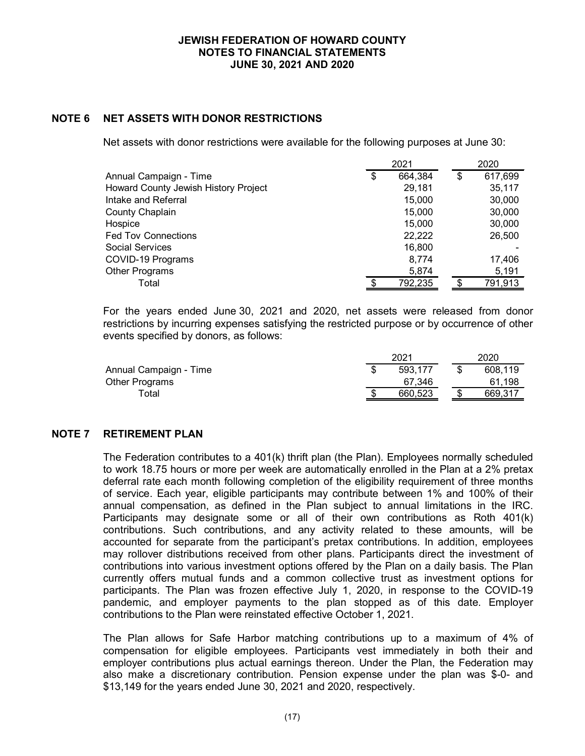## **NOTE 6 NET ASSETS WITH DONOR RESTRICTIONS**

Net assets with donor restrictions were available for the following purposes at June 30:

|                                      | 2021 |         |    | 2020    |
|--------------------------------------|------|---------|----|---------|
| Annual Campaign - Time               | \$   | 664,384 | \$ | 617,699 |
| Howard County Jewish History Project |      | 29,181  |    | 35,117  |
| Intake and Referral                  |      | 15,000  |    | 30,000  |
| County Chaplain                      |      | 15,000  |    | 30,000  |
| Hospice                              |      | 15,000  |    | 30,000  |
| <b>Fed Tov Connections</b>           |      | 22,222  |    | 26,500  |
| Social Services                      |      | 16,800  |    |         |
| COVID-19 Programs                    |      | 8,774   |    | 17,406  |
| Other Programs                       |      | 5,874   |    | 5,191   |
| Total                                |      | 792,235 |    | 791,913 |

For the years ended June 30, 2021 and 2020, net assets were released from donor restrictions by incurring expenses satisfying the restricted purpose or by occurrence of other events specified by donors, as follows:

|                        | 2021    | 2020    |
|------------------------|---------|---------|
| Annual Campaign - Time | 593.177 | 608.119 |
| Other Programs         | 67.346  | 61.198  |
| $\tau$ otal            | 660.523 | 669.317 |

#### **NOTE 7 RETIREMENT PLAN**

The Federation contributes to a 401(k) thrift plan (the Plan). Employees normally scheduled to work 18.75 hours or more per week are automatically enrolled in the Plan at a 2% pretax deferral rate each month following completion of the eligibility requirement of three months of service. Each year, eligible participants may contribute between 1% and 100% of their annual compensation, as defined in the Plan subject to annual limitations in the IRC. Participants may designate some or all of their own contributions as Roth 401(k) contributions. Such contributions, and any activity related to these amounts, will be accounted for separate from the participant's pretax contributions. In addition, employees may rollover distributions received from other plans. Participants direct the investment of contributions into various investment options offered by the Plan on a daily basis. The Plan currently offers mutual funds and a common collective trust as investment options for participants. The Plan was frozen effective July 1, 2020, in response to the COVID-19 pandemic, and employer payments to the plan stopped as of this date. Employer contributions to the Plan were reinstated effective October 1, 2021.

The Plan allows for Safe Harbor matching contributions up to a maximum of 4% of compensation for eligible employees. Participants vest immediately in both their and employer contributions plus actual earnings thereon. Under the Plan, the Federation may also make a discretionary contribution. Pension expense under the plan was \$-0- and \$13,149 for the years ended June 30, 2021 and 2020, respectively.